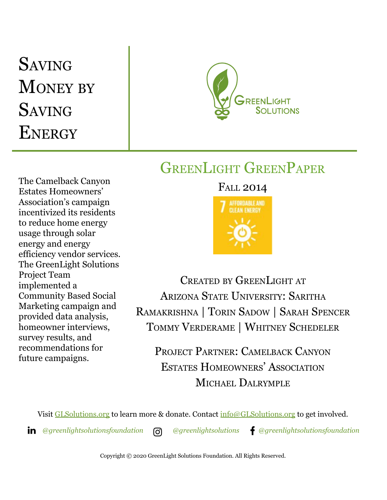# **SAVING MONEY BY** SAVING **ENERGY**



## GREENLIGHT GREENPAPER

The Camelback Canyon Estates Homeowners' Association's campaign incentivized its residents to reduce home energy usage through solar energy and energy efficiency vendor services. The GreenLight Solutions Project Team implemented a Community Based Social Marketing campaign and provided data analysis, homeowner interviews, survey results, and recommendations for future campaigns.

### FALL 2014



CREATED BY GREENLIGHT AT ARIZONA STATE UNIVERSITY: SARITHA RAMAKRISHNA | TORIN SADOW | SARAH SPENCER TOMMY VERDERAME | WHITNEY SCHEDELER

PROJECT PARTNER: CAMELBACK CANYON ESTATES HOMEOWNERS' ASSOCIATION MICHAEL DALRYMPLE

Visit [GLSolutions.org](https://www.glsolutions.org/) to learn more & donate. Contact [info@GLSolutions.org](mailto:info@GLSolutions.org) to get involved.

*[@greenlightsolutionsfoundation](https://www.linkedin.com/company/10571635) [@greenlightsolutions](https://www.instagram.com/greenlightsolutions/) [@greenlightsolutionsfoundation](https://www.facebook.com/GreenLightSolutionsFoundation/)*

Copyright © 2020 GreenLight Solutions Foundation. All Rights Reserved.